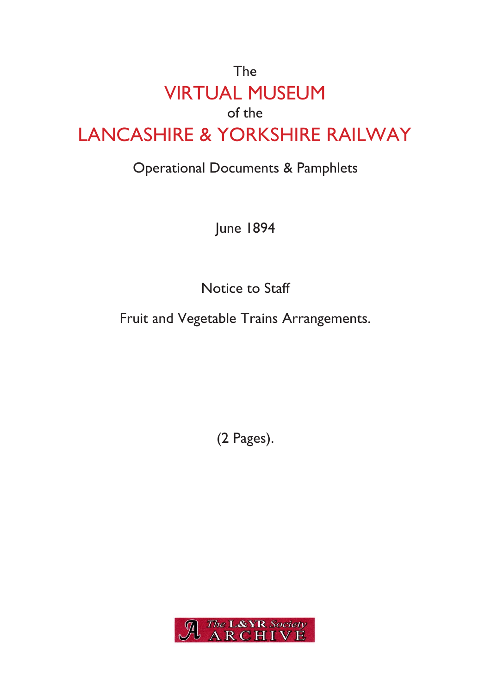# The VIRTUAL MUSEUM of the LANCASHIRE & YORKSHIRE RAILWAY

## Operational Documents & Pamphlets

June 1894

Notice to Staff

Fruit and Vegetable Trains Arrangements.

(2 Pages).

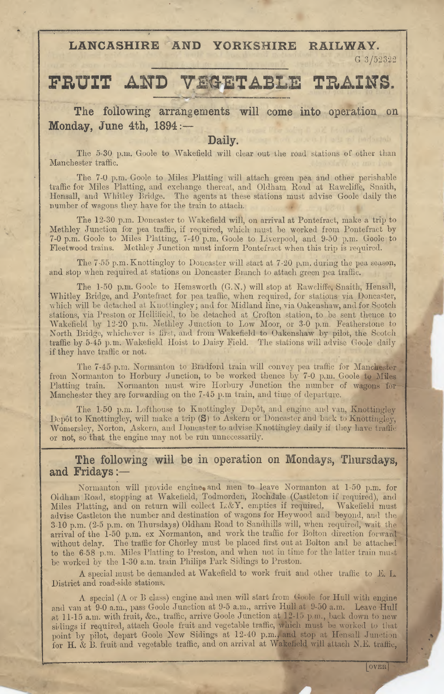**LANCASHIRE AND YORKSHIRE RAILWAY.**

G 3/52322

### **FRUIT AND VEGETABLE TRAINS.**

**The following arrangements will come into operation on Monday, June 4th, 1894 :—**

#### **Daily.**

The 5-30 p.m. Goole to Wakefield will clear out the road stations of other than Manchester traffic.

The 7-0 p.m. Goole to Miles Platting will attach green pea and other perishable traffic for Miles Platting, and exchange thereat, and Oldham Road at Rawcliffe, Snaith, Hensall, and Whitley Bridge. The agents at these stations must advise Goolc daily the number of wagons they have for the train to attach.

The 12-30 p.m. Doncaster to Wakefield will, on arrival at Pontefract, make a trip to Methley Junction lor pea traffic, if required, which must be worked from Pontefract by 7-0 p.m. Goole to Miles Platting, 7-40 p.m. Goole to Liverpool, and 9-50 p.m. Goole to Fleetwood trains. Methley Junction must inform Pontefract when this trip is required.

The 7-55 p.m. Knottingley to Doncaster will start at 7-20 p.m. during the pea season, and stop when required at stations on Doncaster Branch to attach green pea traffic.

The 1-50 p.m. Goole to Hemsworth (G. N.) will stop at Rawcliffe, Snaith, Hensall, Whitley Bridge, and Pontefract for pea traffic, when required, for stations via Doncaster, which will be detached at Knottingley; and for Midland line, via Oakenshaw, and for Scotch stations, via Preston or Hellifield, to be detached at Crofton station, to be sent thence to Wakefield by 12-20 p.m. Methley Junction to Low Moor, or 3-0 p.m. Featherstone to North Bridge, whichever is first, and from Wakefield to Oakenshaw by pilot, the Scotch traffic by 5-45 p.m. Wakefield Hoist to Daisy Field. The stations will advise Goole daily if they have traffic or not.

The 7-45 p.m. Normanton to Bradford train will convey pea traffic for Manchester from Normanton to Horbury Junction, to be worked thence by 7-0 p.m. Goole to Miles Platting train. Normanton must wire Horbury Junction the number of wagons for Manchester they are forwarding on the 7-45 p.m train, and time of departure.

The 1-50 p.m. Lofthouse to Knottingley Depôt, and engine and van, Knottingley Depôt to Knottingley, will make a trip  $(S)$  to Askern or Doncaster and back to Knottingley, Womersley, Norton, Askern, and Doncaster to advise Knottingley daily if they have traffic or not, so that the engine may not be run unnecessarily.

### **The following will be in operation on Mondays, Thursdays, and Fridays**

Normanton will provide engine and men to leave Normanton at 1-50 p.m. for Oldham Road, stopping at Wakefield, Todmorden, Rochdale (Castleton if required), and Miles Platting, and on return will collect L.AY. empties if required, advise Castleton the number and destination of wagons for Heywood and beyond, and the 3-10 p.m. (2-5 p.m. on Thursdays) Oldham Road to Sandhills will, when required, wait the arrival of the 1-50 p.m. ex Normanton, and work the traffic for Bolton direction forward without delay. The traffic for Chorley must be placed first out at Bolton and be attached to the 6-58 p.m. Miles Platting to Preston, and when not in time for the latter train must be worked by the 1-30 a.m. train Philips Park Sidings to Preston. Wakefield must

A special must be demanded at Wakefield to work fruit and other traffic to E. L District and road-side stations.

 $\Lambda$  special ( $\Lambda$  or  $B$  class) engine and men will start from Goole for Hull with engine and van at 9-0 a.m., pass Goole Junction at 9-5 a.m., arrive Hull at 9-50 a.m. Leave Hull at 11-15 a.m. with fruit, &c., traffic, arrive Goole Junction at 12-15 p.m., back down to new sidings if required, attach Goole fruit and vegetable traffic, which must be worked to that point by pilot, depart Goole New Sidings at 12-40 p.m. and stop at Hensall Junction for H. & B. fruit and vegetable traffic, and on arrival at Wakefield will attach N.E. traffic,